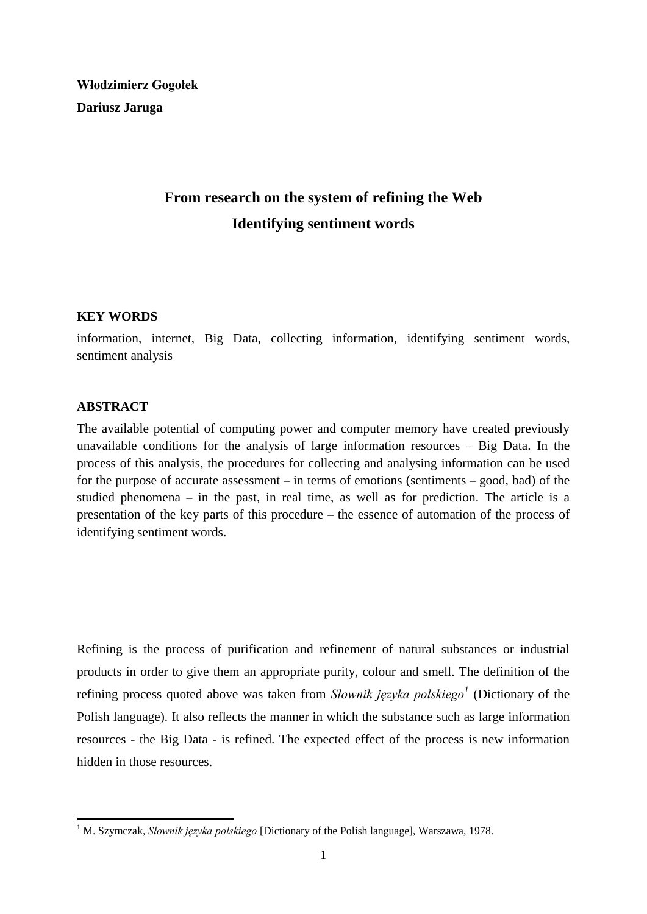**Włodzimierz Gogołek Dariusz Jaruga**

# **From research on the system of refining the Web Identifying sentiment words**

# **KEY WORDS**

information, internet, Big Data, collecting information, identifying sentiment words, sentiment analysis

## **ABSTRACT**

-

The available potential of computing power and computer memory have created previously unavailable conditions for the analysis of large information resources – Big Data. In the process of this analysis, the procedures for collecting and analysing information can be used for the purpose of accurate assessment – in terms of emotions (sentiments – good, bad) of the studied phenomena – in the past, in real time, as well as for prediction. The article is a presentation of the key parts of this procedure – the essence of automation of the process of identifying sentiment words.

Refining is the process of purification and refinement of natural substances or industrial products in order to give them an appropriate purity, colour and smell. The definition of the refining process quoted above was taken from *Słownik języka polskiego<sup>1</sup>* (Dictionary of the Polish language). It also reflects the manner in which the substance such as large information resources - the Big Data - is refined. The expected effect of the process is new information hidden in those resources.

<sup>1</sup> M. Szymczak, *Słownik języka polskiego* [Dictionary of the Polish language], Warszawa, 1978.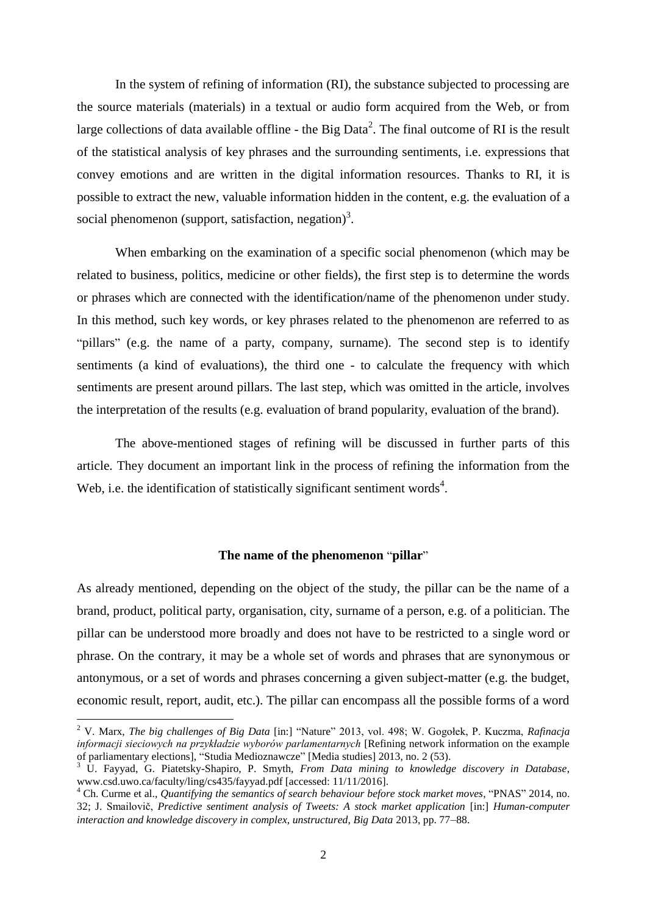In the system of refining of information (RI), the substance subjected to processing are the source materials (materials) in a textual or audio form acquired from the Web, or from large collections of data available offline - the Big Data<sup>2</sup>. The final outcome of RI is the result of the statistical analysis of key phrases and the surrounding sentiments, i.e. expressions that convey emotions and are written in the digital information resources. Thanks to RI, it is possible to extract the new, valuable information hidden in the content, e.g. the evaluation of a social phenomenon (support, satisfaction, negation)<sup>3</sup>.

When embarking on the examination of a specific social phenomenon (which may be related to business, politics, medicine or other fields), the first step is to determine the words or phrases which are connected with the identification/name of the phenomenon under study. In this method, such key words, or key phrases related to the phenomenon are referred to as "pillars" (e.g. the name of a party, company, surname). The second step is to identify sentiments (a kind of evaluations), the third one - to calculate the frequency with which sentiments are present around pillars. The last step, which was omitted in the article, involves the interpretation of the results (e.g. evaluation of brand popularity, evaluation of the brand).

The above-mentioned stages of refining will be discussed in further parts of this article. They document an important link in the process of refining the information from the Web, i.e. the identification of statistically significant sentiment words<sup>4</sup>.

# **The name of the phenomenon** "**pillar**"

As already mentioned, depending on the object of the study, the pillar can be the name of a brand, product, political party, organisation, city, surname of a person, e.g. of a politician. The pillar can be understood more broadly and does not have to be restricted to a single word or phrase. On the contrary, it may be a whole set of words and phrases that are synonymous or antonymous, or a set of words and phrases concerning a given subject-matter (e.g. the budget, economic result, report, audit, etc.). The pillar can encompass all the possible forms of a word

1

<sup>2</sup> V. Marx, *The big challenges of Big Data* [in:] "Nature" 2013, vol. 498; W. Gogołek, P. Kuczma, *Rafinacja informacji sieciowych na przykładzie wyborów parlamentarnych* [Refining network information on the example of parliamentary elections], "Studia Medioznawcze" [Media studies] 2013, no. 2 (53).

<sup>3</sup> U. Fayyad, G. Piatetsky-Shapiro, P. Smyth, *From Data mining to knowledge discovery in Database*, www.csd.uwo.ca/faculty/ling/cs435/fayyad.pdf [accessed: 11/11/2016].

<sup>4</sup> Ch. Curme et al., *Quantifying the semantics of search behaviour before stock market moves*, "PNAS" 2014, no. 32; J. Smailovič, *Predictive sentiment analysis of Tweets: A stock market application* [in:] *Human-computer interaction and knowledge discovery in complex, unstructured, Big Data* 2013, pp. 77–88.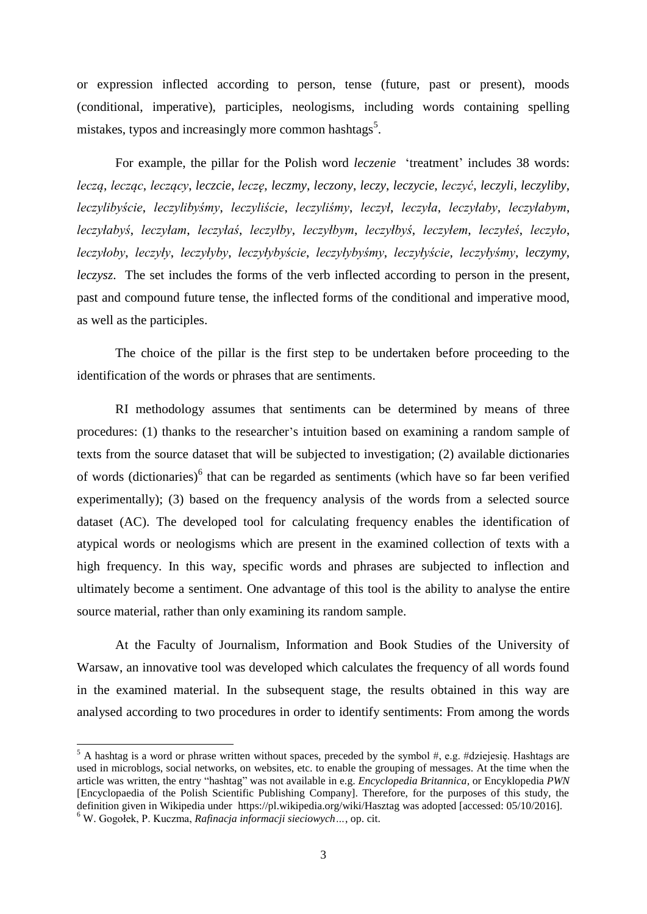or expression inflected according to person, tense (future, past or present), moods (conditional, imperative), participles, neologisms, including words containing spelling mistakes, typos and increasingly more common hashtags<sup>5</sup>.

For example, the pillar for the Polish word *leczenie* 'treatment' includes 38 words: *leczą*, *lecząc*, *leczący*, *leczcie*, *leczę*, *leczmy*, *leczony*, *leczy*, *leczycie*, *leczyć*, *leczyli*, *leczyliby*, *leczylibyście*, *leczylibyśmy*, *leczyliście*, *leczyliśmy*, *leczył*, *leczyła*, *leczyłaby*, *leczyłabym*, *leczyłabyś*, *leczyłam*, *leczyłaś*, *leczyłby*, *leczyłbym*, *leczyłbyś*, *leczyłem*, *leczyłeś*, *leczyło*, *leczyłoby*, *leczyły*, *leczyłyby*, *leczyłybyście*, *leczyłybyśmy*, *leczyłyście*, *leczyłyśmy*, *leczymy*, *leczysz*. The set includes the forms of the verb inflected according to person in the present, past and compound future tense, the inflected forms of the conditional and imperative mood, as well as the participles.

The choice of the pillar is the first step to be undertaken before proceeding to the identification of the words or phrases that are sentiments.

RI methodology assumes that sentiments can be determined by means of three procedures: (1) thanks to the researcher's intuition based on examining a random sample of texts from the source dataset that will be subjected to investigation; (2) available dictionaries of words (dictionaries)<sup>6</sup> that can be regarded as sentiments (which have so far been verified experimentally); (3) based on the frequency analysis of the words from a selected source dataset (AC). The developed tool for calculating frequency enables the identification of atypical words or neologisms which are present in the examined collection of texts with a high frequency. In this way, specific words and phrases are subjected to inflection and ultimately become a sentiment. One advantage of this tool is the ability to analyse the entire source material, rather than only examining its random sample.

At the Faculty of Journalism, Information and Book Studies of the University of Warsaw, an innovative tool was developed which calculates the frequency of all words found in the examined material. In the subsequent stage, the results obtained in this way are analysed according to two procedures in order to identify sentiments: From among the words

-

 $5$  A hashtag is a word or phrase written without spaces, preceded by the symbol #, e.g. #dziejesię. Hashtags are used in microblogs, social networks, on websites, etc. to enable the grouping of messages. At the time when the article was written, the entry "hashtag" was not available in e.g. *Encyclopedia Britannica,* or Encyklopedia *PWN* [Encyclopaedia of the Polish Scientific Publishing Company]. Therefore, for the purposes of this study, the definition given in Wikipedia under <https://pl.wikipedia.org/wiki/Hasztag> was adopted [accessed: 05/10/2016]. <sup>6</sup> W. Gogołek, P. Kuczma, *Rafinacja informacji sieciowych…*, op. cit.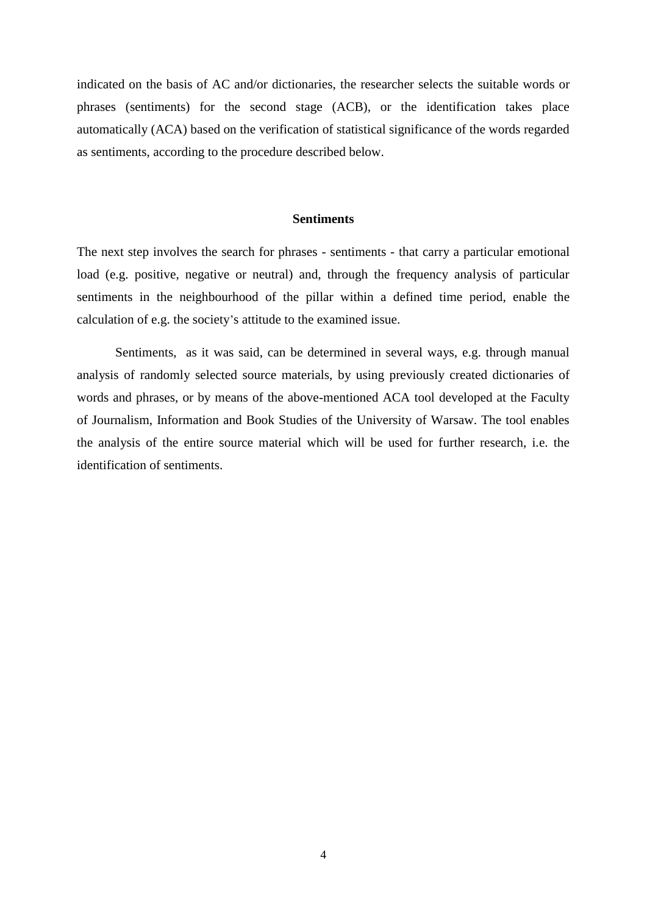indicated on the basis of AC and/or dictionaries, the researcher selects the suitable words or phrases (sentiments) for the second stage (ACB), or the identification takes place automatically (ACA) based on the verification of statistical significance of the words regarded as sentiments, according to the procedure described below.

#### **Sentiments**

The next step involves the search for phrases - sentiments - that carry a particular emotional load (e.g. positive, negative or neutral) and, through the frequency analysis of particular sentiments in the neighbourhood of the pillar within a defined time period, enable the calculation of e.g. the society's attitude to the examined issue.

Sentiments, as it was said, can be determined in several ways, e.g. through manual analysis of randomly selected source materials, by using previously created dictionaries of words and phrases, or by means of the above-mentioned ACA tool developed at the Faculty of Journalism, Information and Book Studies of the University of Warsaw. The tool enables the analysis of the entire source material which will be used for further research, i.e. the identification of sentiments.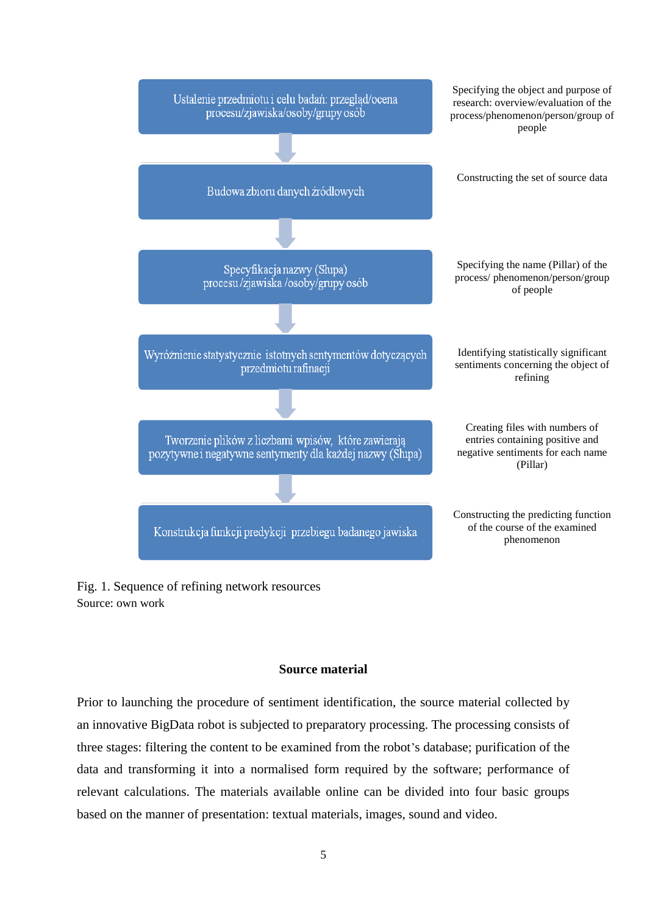

Fig. 1. Sequence of refining network resources Source: own work

## **Source material**

Prior to launching the procedure of sentiment identification, the source material collected by an innovative BigData robot is subjected to preparatory processing. The processing consists of three stages: filtering the content to be examined from the robot's database; purification of the data and transforming it into a normalised form required by the software; performance of relevant calculations. The materials available online can be divided into four basic groups based on the manner of presentation: textual materials, images, sound and video.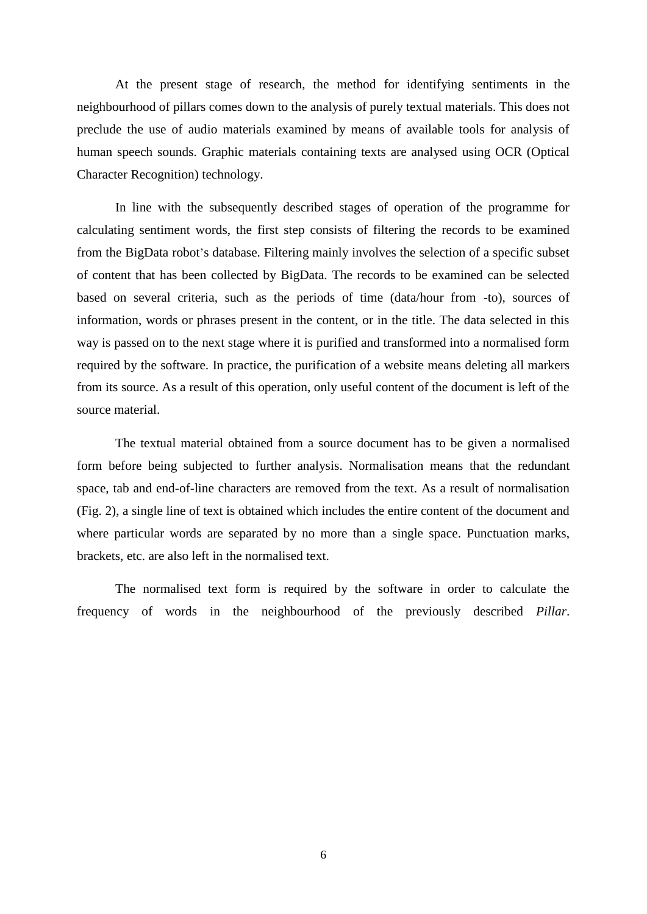At the present stage of research, the method for identifying sentiments in the neighbourhood of pillars comes down to the analysis of purely textual materials. This does not preclude the use of audio materials examined by means of available tools for analysis of human speech sounds. Graphic materials containing texts are analysed using OCR (Optical Character Recognition) technology.

In line with the subsequently described stages of operation of the programme for calculating sentiment words, the first step consists of filtering the records to be examined from the BigData robot's database. Filtering mainly involves the selection of a specific subset of content that has been collected by BigData. The records to be examined can be selected based on several criteria, such as the periods of time (data/hour from -to), sources of information, words or phrases present in the content, or in the title. The data selected in this way is passed on to the next stage where it is purified and transformed into a normalised form required by the software. In practice, the purification of a website means deleting all markers from its source. As a result of this operation, only useful content of the document is left of the source material.

The textual material obtained from a source document has to be given a normalised form before being subjected to further analysis. Normalisation means that the redundant space, tab and end-of-line characters are removed from the text. As a result of normalisation (Fig. 2), a single line of text is obtained which includes the entire content of the document and where particular words are separated by no more than a single space. Punctuation marks, brackets, etc. are also left in the normalised text.

The normalised text form is required by the software in order to calculate the frequency of words in the neighbourhood of the previously described *Pillar*.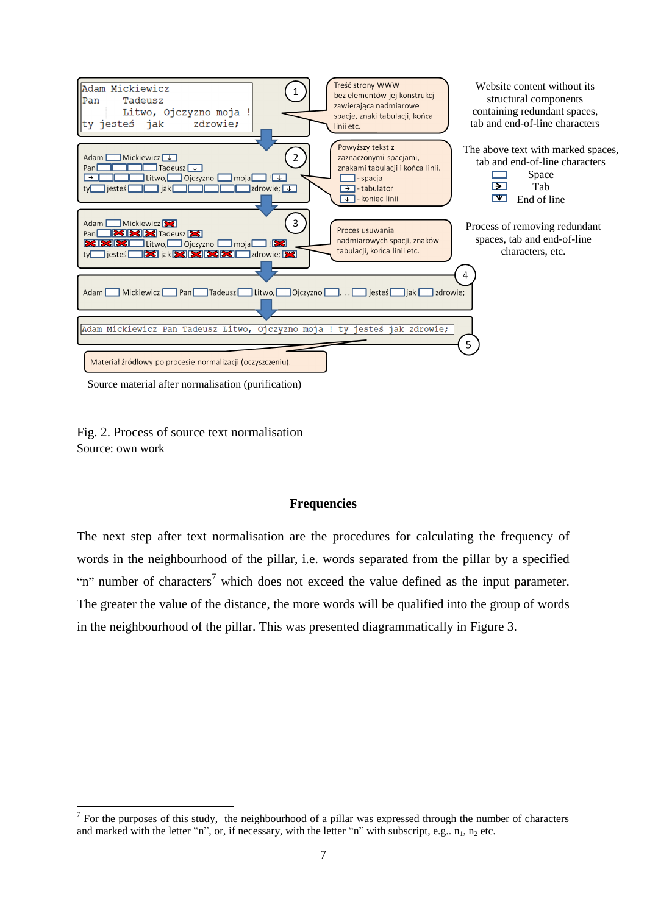

Source material after normalisation (purification)

Fig. 2. Process of source text normalisation Source: own work

-

## **Frequencies**

The next step after text normalisation are the procedures for calculating the frequency of words in the neighbourhood of the pillar, i.e. words separated from the pillar by a specified "n" number of characters<sup>7</sup> which does not exceed the value defined as the input parameter. The greater the value of the distance, the more words will be qualified into the group of words in the neighbourhood of the pillar. This was presented diagrammatically in Figure 3.

 $7$  For the purposes of this study, the neighbourhood of a pillar was expressed through the number of characters and marked with the letter "n", or, if necessary, with the letter "n" with subscript, e.g..  $n_1$ ,  $n_2$  etc.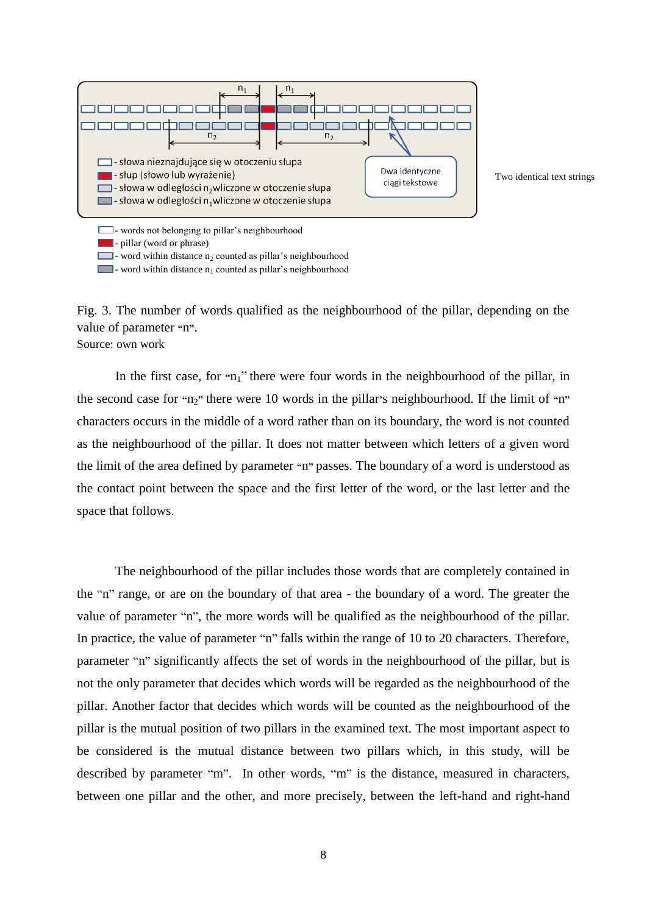

- word within distance  $n_1$  counted as pillar's neighbourhood

Two identical text strings

Fig. 3. The number of words qualified as the neighbourhood of the pillar, depending on the value of parameter **"**n**"**. Source: own work

In the first case, for "n<sub>1</sub>" there were four words in the neighbourhood of the pillar, in the second case for **"**n2**"** there were 10 words in the pillar**'**s neighbourhood. If the limit of **"**n**"**  characters occurs in the middle of a word rather than on its boundary, the word is not counted as the neighbourhood of the pillar. It does not matter between which letters of a given word the limit of the area defined by parameter **"**n**"** passes. The boundary of a word is understood as the contact point between the space and the first letter of the word, or the last letter and the space that follows.

The neighbourhood of the pillar includes those words that are completely contained in the "n" range, or are on the boundary of that area - the boundary of a word. The greater the value of parameter "n", the more words will be qualified as the neighbourhood of the pillar. In practice, the value of parameter "n" falls within the range of 10 to 20 characters. Therefore, parameter "n" significantly affects the set of words in the neighbourhood of the pillar, but is not the only parameter that decides which words will be regarded as the neighbourhood of the pillar. Another factor that decides which words will be counted as the neighbourhood of the pillar is the mutual position of two pillars in the examined text. The most important aspect to be considered is the mutual distance between two pillars which, in this study, will be described by parameter "m". In other words, "m" is the distance, measured in characters, between one pillar and the other, and more precisely, between the left-hand and right-hand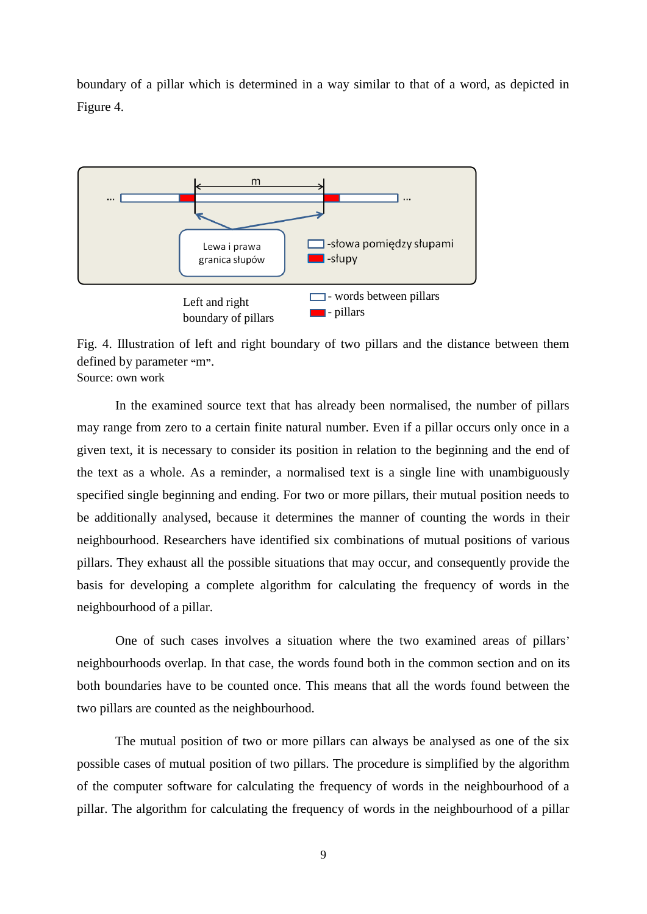boundary of a pillar which is determined in a way similar to that of a word, as depicted in Figure 4.



Fig. 4. Illustration of left and right boundary of two pillars and the distance between them defined by parameter **"**m**"**. Source: own work

In the examined source text that has already been normalised, the number of pillars may range from zero to a certain finite natural number. Even if a pillar occurs only once in a given text, it is necessary to consider its position in relation to the beginning and the end of the text as a whole. As a reminder, a normalised text is a single line with unambiguously specified single beginning and ending. For two or more pillars, their mutual position needs to be additionally analysed, because it determines the manner of counting the words in their neighbourhood. Researchers have identified six combinations of mutual positions of various pillars. They exhaust all the possible situations that may occur, and consequently provide the basis for developing a complete algorithm for calculating the frequency of words in the neighbourhood of a pillar.

One of such cases involves a situation where the two examined areas of pillars' neighbourhoods overlap. In that case, the words found both in the common section and on its both boundaries have to be counted once. This means that all the words found between the two pillars are counted as the neighbourhood.

The mutual position of two or more pillars can always be analysed as one of the six possible cases of mutual position of two pillars. The procedure is simplified by the algorithm of the computer software for calculating the frequency of words in the neighbourhood of a pillar. The algorithm for calculating the frequency of words in the neighbourhood of a pillar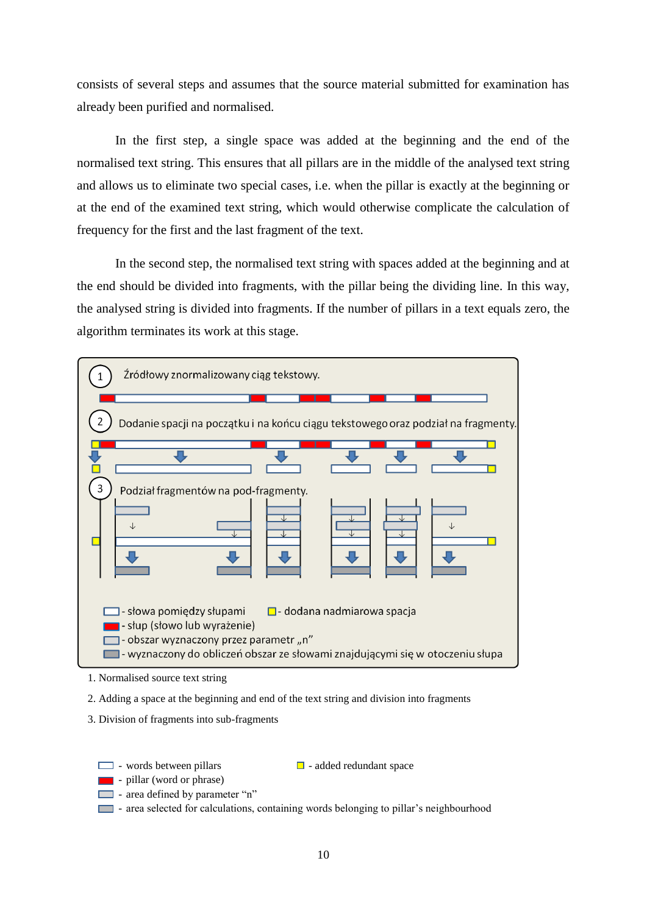consists of several steps and assumes that the source material submitted for examination has already been purified and normalised.

In the first step, a single space was added at the beginning and the end of the normalised text string. This ensures that all pillars are in the middle of the analysed text string and allows us to eliminate two special cases, i.e. when the pillar is exactly at the beginning or at the end of the examined text string, which would otherwise complicate the calculation of frequency for the first and the last fragment of the text.

In the second step, the normalised text string with spaces added at the beginning and at the end should be divided into fragments, with the pillar being the dividing line. In this way, the analysed string is divided into fragments. If the number of pillars in a text equals zero, the algorithm terminates its work at this stage.



<sup>1.</sup> Normalised source text string

- 2. Adding a space at the beginning and end of the text string and division into fragments
- 3. Division of fragments into sub-fragments
	- $\Box$  words between pillars  $\Box$  added redundant space
	- **Internal pillar** (word or phrase)
	- area defined by parameter "n"
	- area selected for calculations, containing words belonging to pillar's neighbourhood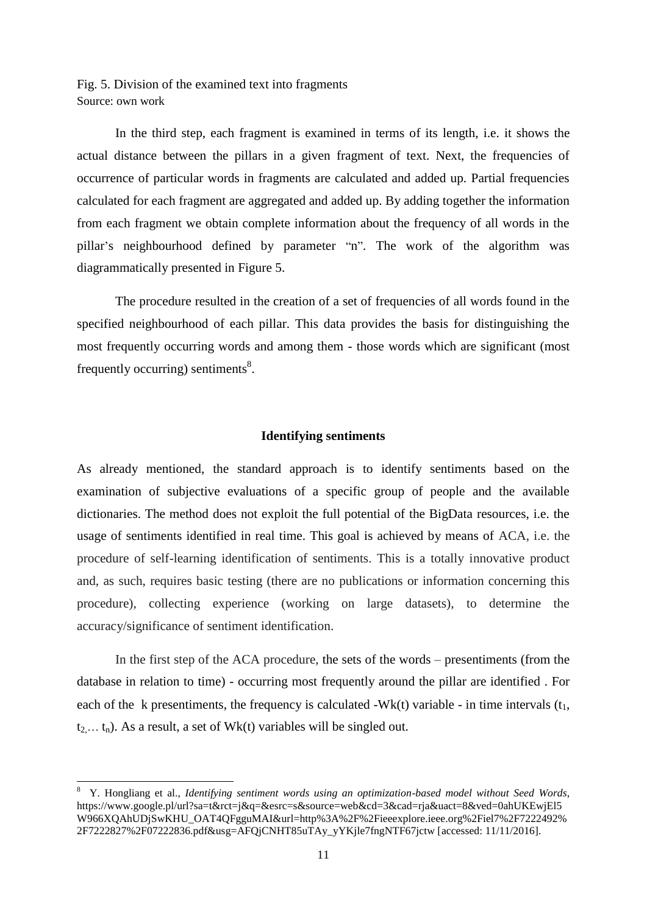Fig. 5. Division of the examined text into fragments Source: own work

In the third step, each fragment is examined in terms of its length, i.e. it shows the actual distance between the pillars in a given fragment of text. Next, the frequencies of occurrence of particular words in fragments are calculated and added up. Partial frequencies calculated for each fragment are aggregated and added up. By adding together the information from each fragment we obtain complete information about the frequency of all words in the pillar's neighbourhood defined by parameter "n". The work of the algorithm was diagrammatically presented in Figure 5.

The procedure resulted in the creation of a set of frequencies of all words found in the specified neighbourhood of each pillar. This data provides the basis for distinguishing the most frequently occurring words and among them - those words which are significant (most frequently occurring) sentiments<sup>8</sup>.

## **Identifying sentiments**

As already mentioned, the standard approach is to identify sentiments based on the examination of subjective evaluations of a specific group of people and the available dictionaries. The method does not exploit the full potential of the BigData resources, i.e. the usage of sentiments identified in real time. This goal is achieved by means of ACA, i.e. the procedure of self-learning identification of sentiments. This is a totally innovative product and, as such, requires basic testing (there are no publications or information concerning this procedure), collecting experience (working on large datasets), to determine the accuracy/significance of sentiment identification.

In the first step of the ACA procedure, the sets of the words – presentiments (from the database in relation to time) - occurring most frequently around the pillar are identified . For each of the k presentiments, the frequency is calculated -Wk(t) variable - in time intervals  $(t_1, t_2)$  $t_2... t_n$ ). As a result, a set of Wk(t) variables will be singled out.

-

<sup>8</sup> Y. Hongliang et al., *Identifying sentiment words using an optimization-based model without Seed Words*, https://www.google.pl/url?sa=t&rct=j&q=&esrc=s&source=web&cd=3&cad=rja&uact=8&ved=0ahUKEwjEl5 W966XQAhUDjSwKHU\_OAT4QFgguMAI&url=http%3A%2F%2Fieeexplore.ieee.org%2Fiel7%2F7222492% 2F7222827%2F07222836.pdf&usg=AFQjCNHT85uTAy\_yYKjle7fngNTF67jctw [accessed: 11/11/2016].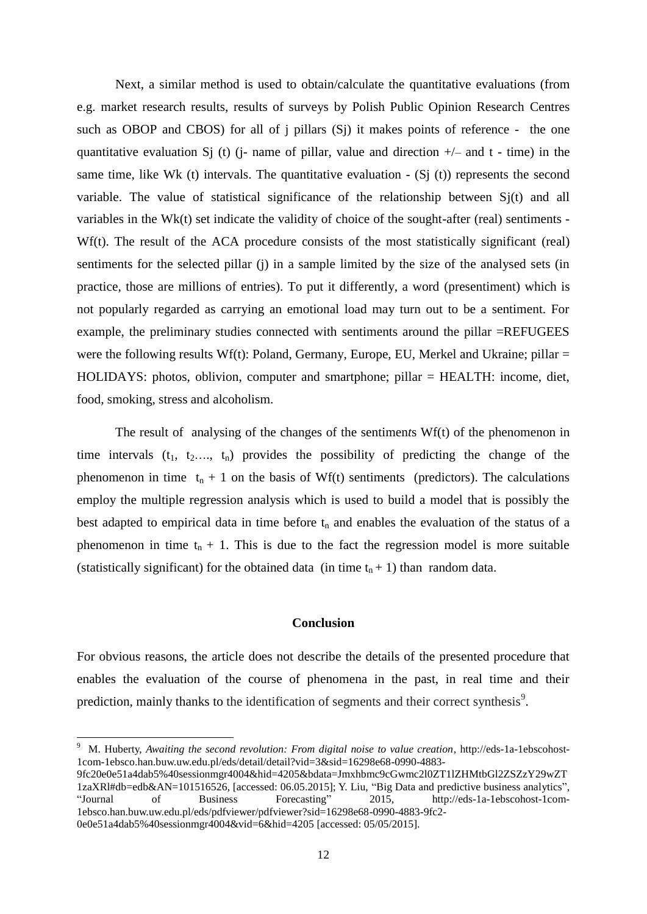Next, a similar method is used to obtain/calculate the quantitative evaluations (from e.g. market research results, results of surveys by Polish Public Opinion Research Centres such as OBOP and CBOS) for all of j pillars (Sj) it makes points of reference - the one quantitative evaluation S<sub>1</sub> (t) (*j*- name of pillar, value and direction  $+/-$  and t - time) in the same time, like Wk (t) intervals. The quantitative evaluation  $-$  (Sj (t)) represents the second variable. The value of statistical significance of the relationship between Sj(t) and all variables in the Wk(t) set indicate the validity of choice of the sought-after (real) sentiments - Wf(t). The result of the ACA procedure consists of the most statistically significant (real) sentiments for the selected pillar (j) in a sample limited by the size of the analysed sets (in practice, those are millions of entries). To put it differently, a word (presentiment) which is not popularly regarded as carrying an emotional load may turn out to be a sentiment. For example, the preliminary studies connected with sentiments around the pillar =REFUGEES were the following results Wf(t): Poland, Germany, Europe, EU, Merkel and Ukraine; pillar  $=$ HOLIDAYS: photos, oblivion, computer and smartphone; pillar = HEALTH: income, diet, food, smoking, stress and alcoholism.

The result of analysing of the changes of the sentimen*t*s Wf(t) of the phenomenon in time intervals  $(t_1, t_2, \ldots, t_n)$  provides the possibility of predicting the change of the phenomenon in time  $t_n + 1$  on the basis of Wf(t) sentiments (predictors). The calculations employ the multiple regression analysis which is used to build a model that is possibly the best adapted to empirical data in time before  $t_n$  and enables the evaluation of the status of a phenomenon in time  $t_n + 1$ . This is due to the fact the regression model is more suitable (statistically significant) for the obtained data (in time  $t_n + 1$ ) than random data.

## **Conclusion**

For obvious reasons, the article does not describe the details of the presented procedure that enables the evaluation of the course of phenomena in the past, in real time and their prediction, mainly thanks to the identification of segments and their correct synthesis $\delta$ .

 9 M. Huberty, *Awaiting the second revolution: From digital noise to value creation,* http://eds-1a-1ebscohost-1com-1ebsco.han.buw.uw.edu.pl/eds/detail/detail?vid=3&sid=16298e68-0990-4883-

<sup>9</sup>fc20e0e51a4dab5%40sessionmgr4004&hid=4205&bdata=Jmxhbmc9cGwmc2l0ZT1lZHMtbGl2ZSZzY29wZT 1zaXRl#db=edb&AN=101516526, [accessed: 06.05.2015]; Y. Liu, "Big Data and predictive business analytics", "Journal of Business Forecasting" 2015, http://eds-1a-1ebscohost-1com-1ebsco.han.buw.uw.edu.pl/eds/pdfviewer/pdfviewer?sid=16298e68-0990-4883-9fc2- 0e0e51a4dab5%40sessionmgr4004&vid=6&hid=4205 [accessed: 05/05/2015].